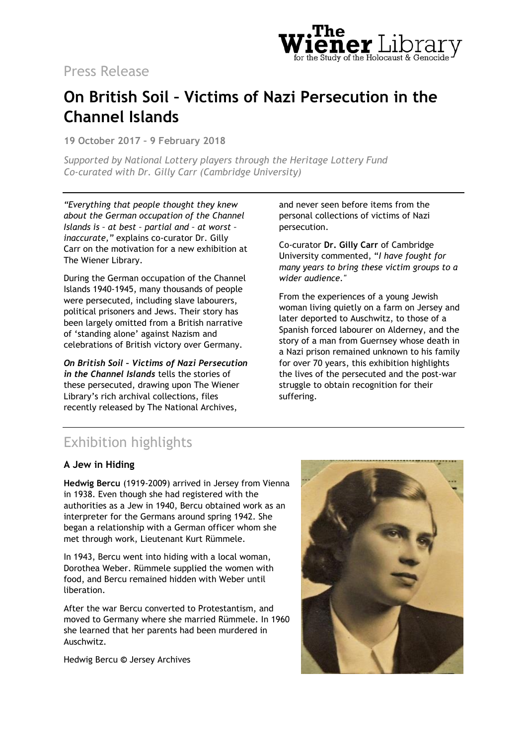

# Press Release

# **On British Soil – Victims of Nazi Persecution in the Channel Islands**

**19 October 2017 – 9 February 2018**

*Supported by National Lottery players through the Heritage Lottery Fund Co-curated with Dr. Gilly Carr (Cambridge University)*

*"Everything that people thought they knew about the German occupation of the Channel Islands is – at best – partial and – at worst – inaccurate,"* explains co-curator Dr. Gilly Carr on the motivation for a new exhibition at The Wiener Library.

During the German occupation of the Channel Islands 1940-1945, many thousands of people were persecuted, including slave labourers, political prisoners and Jews. Their story has been largely omitted from a British narrative of 'standing alone' against Nazism and celebrations of British victory over Germany.

*On British Soil – Victims of Nazi Persecution in the Channel Islands* tells the stories of these persecuted, drawing upon The Wiener Library's rich archival collections, files recently released by The National Archives,

and never seen before items from the personal collections of victims of Nazi persecution.

Co-curator **Dr. Gilly Carr** of Cambridge University commented, "*I have fought for many years to bring these victim groups to a wider audience."*

From the experiences of a young Jewish woman living quietly on a farm on Jersey and later deported to Auschwitz, to those of a Spanish forced labourer on Alderney, and the story of a man from Guernsey whose death in a Nazi prison remained unknown to his family for over 70 years, this exhibition highlights the lives of the persecuted and the post-war struggle to obtain recognition for their suffering.

# Exhibition highlights

### **A Jew in Hiding**

**Hedwig Bercu** (1919-2009) arrived in Jersey from Vienna in 1938. Even though she had registered with the authorities as a Jew in 1940, Bercu obtained work as an interpreter for the Germans around spring 1942. She began a relationship with a German officer whom she met through work, Lieutenant Kurt Rümmele.

In 1943, Bercu went into hiding with a local woman, Dorothea Weber. Rümmele supplied the women with food, and Bercu remained hidden with Weber until liberation.

After the war Bercu converted to Protestantism, and moved to Germany where she married Rümmele. In 1960 she learned that her parents had been murdered in Auschwitz.

Hedwig Bercu **©** Jersey Archives

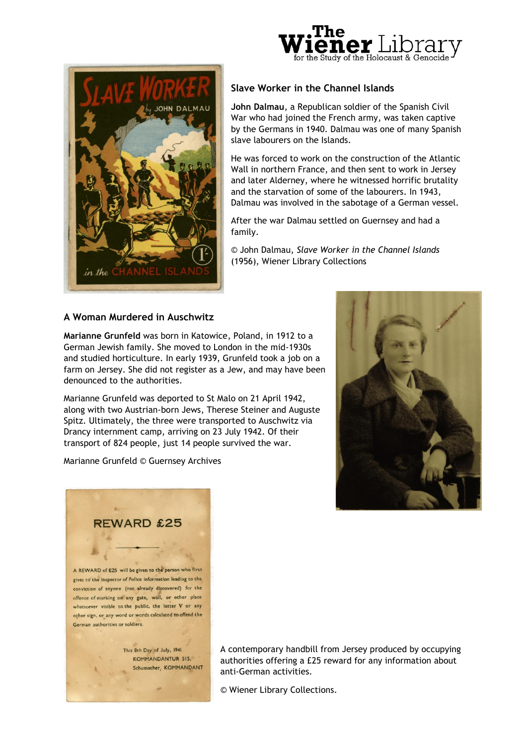



# **Slave Worker in the Channel Islands**

**John Dalmau**, a Republican soldier of the Spanish Civil War who had joined the French army, was taken captive by the Germans in 1940. Dalmau was one of many Spanish slave labourers on the Islands.

He was forced to work on the construction of the Atlantic Wall in northern France, and then sent to work in Jersey and later Alderney, where he witnessed horrific brutality and the starvation of some of the labourers. In 1943, Dalmau was involved in the sabotage of a German vessel.

After the war Dalmau settled on Guernsey and had a family.

© John Dalmau, *Slave Worker in the Channel Islands*  (1956), Wiener Library Collections

### **A Woman Murdered in Auschwitz**

**Marianne Grunfeld** was born in Katowice, Poland, in 1912 to a German Jewish family. She moved to London in the mid-1930s and studied horticulture. In early 1939, Grunfeld took a job on a farm on Jersey. She did not register as a Jew, and may have been denounced to the authorities.

Marianne Grunfeld was deported to St Malo on 21 April 1942, along with two Austrian-born Jews, Therese Steiner and Auguste Spitz. Ultimately, the three were transported to Auschwitz via Drancy internment camp, arriving on 23 July 1942. Of their transport of 824 people, just 14 people survived the war.

Marianne Grunfeld © Guernsey Archives





KOMMANDANTUR 515. Schumacher, KOMMANDANT A contemporary handbill from Jersey produced by occupying authorities offering a £25 reward for any information about anti-German activities.

© Wiener Library Collections.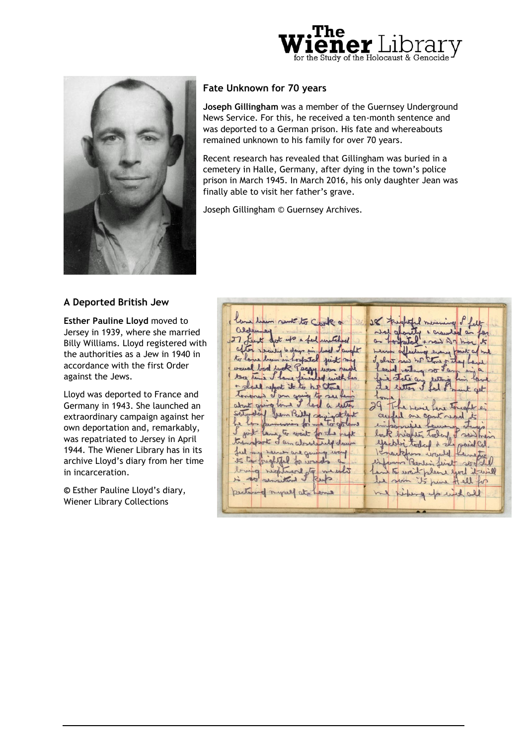



## **Fate Unknown for 70 years**

**Joseph Gillingham** was a member of the Guernsey Underground News Service. For this, he received a ten-month sentence and was deported to a German prison. His fate and whereabouts remained unknown to his family for over 70 years.

Recent research has revealed that Gillingham was buried in a cemetery in Halle, Germany, after dying in the town's police prison in March 1945. In March 2016, his only daughter Jean was finally able to visit her father's grave.

Joseph Gillingham © Guernsey Archives.

#### **A Deported British Jew**

**Esther Pauline Lloyd** moved to Jersey in 1939, where she married Billy Williams. Lloyd registered with the authorities as a Jew in 1940 in accordance with the first Order against the Jews.

Lloyd was deported to France and Germany in 1943. She launched an extraordinary campaign against her own deportation and, remarkably, was repatriated to Jersey in April 1944. The Wiener Library has in its archive Lloyd's diary from her time in incarceration.

**©** Esther Pauline Lloyd's diary, Wiener Library Collections